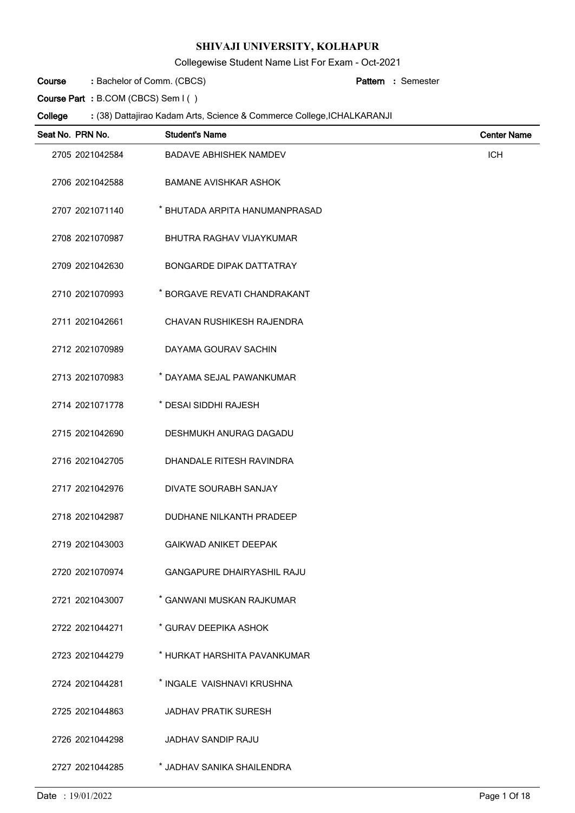Collegewise Student Name List For Exam - Oct-2021

Bachelor of Comm. (CBCS) **: Pattern Course**

Semester **:**

**Course Part :** B.COM (CBCS) Sem I ( )

| Seat No. PRN No. | <b>Student's Name</b>             | <b>Center Name</b> |
|------------------|-----------------------------------|--------------------|
| 2705 2021042584  | <b>BADAVE ABHISHEK NAMDEV</b>     | <b>ICH</b>         |
| 2706 2021042588  | <b>BAMANE AVISHKAR ASHOK</b>      |                    |
| 2707 2021071140  | * BHUTADA ARPITA HANUMANPRASAD    |                    |
| 2708 2021070987  | BHUTRA RAGHAV VIJAYKUMAR          |                    |
| 2709 2021042630  | <b>BONGARDE DIPAK DATTATRAY</b>   |                    |
| 2710 2021070993  | * BORGAVE REVATI CHANDRAKANT      |                    |
| 2711 2021042661  | CHAVAN RUSHIKESH RAJENDRA         |                    |
| 2712 2021070989  | DAYAMA GOURAV SACHIN              |                    |
| 2713 2021070983  | * DAYAMA SEJAL PAWANKUMAR         |                    |
| 2714 2021071778  | * DESAI SIDDHI RAJESH             |                    |
| 2715 2021042690  | DESHMUKH ANURAG DAGADU            |                    |
| 2716 2021042705  | DHANDALE RITESH RAVINDRA          |                    |
| 2717 2021042976  | DIVATE SOURABH SANJAY             |                    |
| 2718 2021042987  | DUDHANE NILKANTH PRADEEP          |                    |
| 2719 2021043003  | <b>GAIKWAD ANIKET DEEPAK</b>      |                    |
| 2720 2021070974  | <b>GANGAPURE DHAIRYASHIL RAJU</b> |                    |
| 2721 2021043007  | * GANWANI MUSKAN RAJKUMAR         |                    |
| 2722 2021044271  | * GURAV DEEPIKA ASHOK             |                    |
| 2723 2021044279  | * HURKAT HARSHITA PAVANKUMAR      |                    |
| 2724 2021044281  | * INGALE VAISHNAVI KRUSHNA        |                    |
| 2725 2021044863  | <b>JADHAV PRATIK SURESH</b>       |                    |
| 2726 2021044298  | <b>JADHAV SANDIP RAJU</b>         |                    |
| 2727 2021044285  | * JADHAV SANIKA SHAILENDRA        |                    |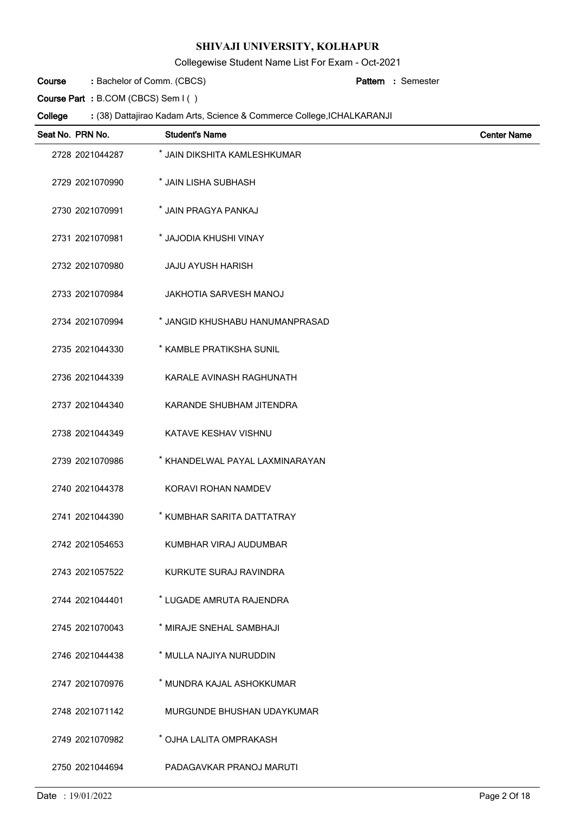Collegewise Student Name List For Exam - Oct-2021

Bachelor of Comm. (CBCS) **: Pattern Course**

Semester **:**

**Course Part :** B.COM (CBCS) Sem I ( )

| Seat No. PRN No. | <b>Student's Name</b>           | <b>Center Name</b> |
|------------------|---------------------------------|--------------------|
| 2728 2021044287  | * JAIN DIKSHITA KAMLESHKUMAR    |                    |
| 2729 2021070990  | * JAIN LISHA SUBHASH            |                    |
| 2730 2021070991  | * JAIN PRAGYA PANKAJ            |                    |
| 2731 2021070981  | * JAJODIA KHUSHI VINAY          |                    |
| 2732 2021070980  | <b>JAJU AYUSH HARISH</b>        |                    |
| 2733 2021070984  | <b>JAKHOTIA SARVESH MANOJ</b>   |                    |
| 2734 2021070994  | * JANGID KHUSHABU HANUMANPRASAD |                    |
| 2735 2021044330  | * KAMBLE PRATIKSHA SUNIL        |                    |
| 2736 2021044339  | KARALE AVINASH RAGHUNATH        |                    |
| 2737 2021044340  | KARANDE SHUBHAM JITENDRA        |                    |
| 2738 2021044349  | KATAVE KESHAV VISHNU            |                    |
| 2739 2021070986  | * KHANDELWAL PAYAL LAXMINARAYAN |                    |
| 2740 2021044378  | KORAVI ROHAN NAMDEV             |                    |
| 2741 2021044390  | * KUMBHAR SARITA DATTATRAY      |                    |
| 2742 2021054653  | KUMBHAR VIRAJ AUDUMBAR          |                    |
| 2743 2021057522  | KURKUTE SURAJ RAVINDRA          |                    |
| 2744 2021044401  | * LUGADE AMRUTA RAJENDRA        |                    |
| 2745 2021070043  | * MIRAJE SNEHAL SAMBHAJI        |                    |
| 2746 2021044438  | * MULLA NAJIYA NURUDDIN         |                    |
| 2747 2021070976  | * MUNDRA KAJAL ASHOKKUMAR       |                    |
| 2748 2021071142  | MURGUNDE BHUSHAN UDAYKUMAR      |                    |
| 2749 2021070982  | * OJHA LALITA OMPRAKASH         |                    |
| 2750 2021044694  | PADAGAVKAR PRANOJ MARUTI        |                    |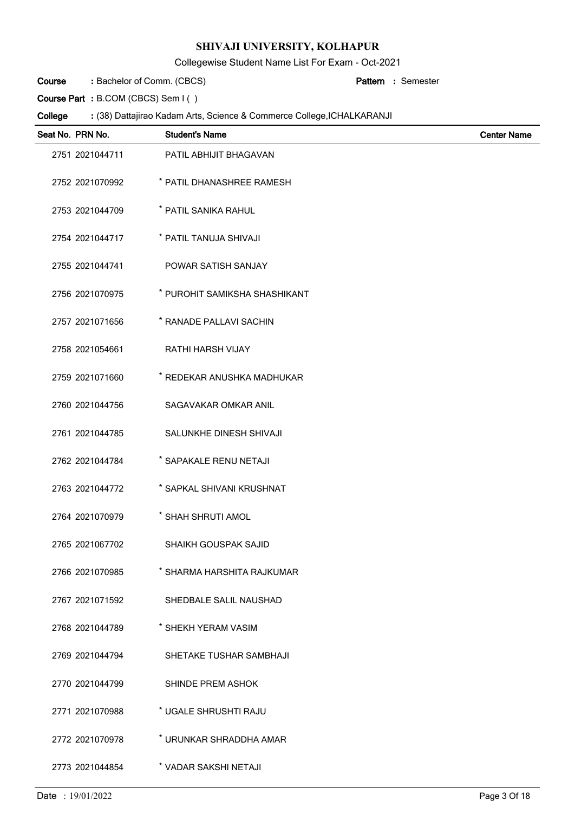Collegewise Student Name List For Exam - Oct-2021

Bachelor of Comm. (CBCS) **: Pattern Course**

Semester **:**

**Course Part :** B.COM (CBCS) Sem I ( )

| Seat No. PRN No. | <b>Student's Name</b>         | <b>Center Name</b> |
|------------------|-------------------------------|--------------------|
| 2751 2021044711  | PATIL ABHIJIT BHAGAVAN        |                    |
| 2752 2021070992  | * PATIL DHANASHREE RAMESH     |                    |
| 2753 2021044709  | * PATIL SANIKA RAHUL          |                    |
| 2754 2021044717  | * PATIL TANUJA SHIVAJI        |                    |
| 2755 2021044741  | POWAR SATISH SANJAY           |                    |
| 2756 2021070975  | * PUROHIT SAMIKSHA SHASHIKANT |                    |
| 2757 2021071656  | * RANADE PALLAVI SACHIN       |                    |
| 2758 2021054661  | <b>RATHI HARSH VIJAY</b>      |                    |
| 2759 2021071660  | * REDEKAR ANUSHKA MADHUKAR    |                    |
| 2760 2021044756  | SAGAVAKAR OMKAR ANIL          |                    |
| 2761 2021044785  | SALUNKHE DINESH SHIVAJI       |                    |
| 2762 2021044784  | * SAPAKALE RENU NETAJI        |                    |
| 2763 2021044772  | * SAPKAL SHIVANI KRUSHNAT     |                    |
| 2764 2021070979  | * SHAH SHRUTI AMOL            |                    |
| 2765 2021067702  | SHAIKH GOUSPAK SAJID          |                    |
| 2766 2021070985  | * SHARMA HARSHITA RAJKUMAR    |                    |
| 2767 2021071592  | SHEDBALE SALIL NAUSHAD        |                    |
| 2768 2021044789  | * SHEKH YERAM VASIM           |                    |
| 2769 2021044794  | SHETAKE TUSHAR SAMBHAJI       |                    |
| 2770 2021044799  | SHINDE PREM ASHOK             |                    |
| 2771 2021070988  | * UGALE SHRUSHTI RAJU         |                    |
| 2772 2021070978  | * URUNKAR SHRADDHA AMAR       |                    |
| 2773 2021044854  | * VADAR SAKSHI NETAJI         |                    |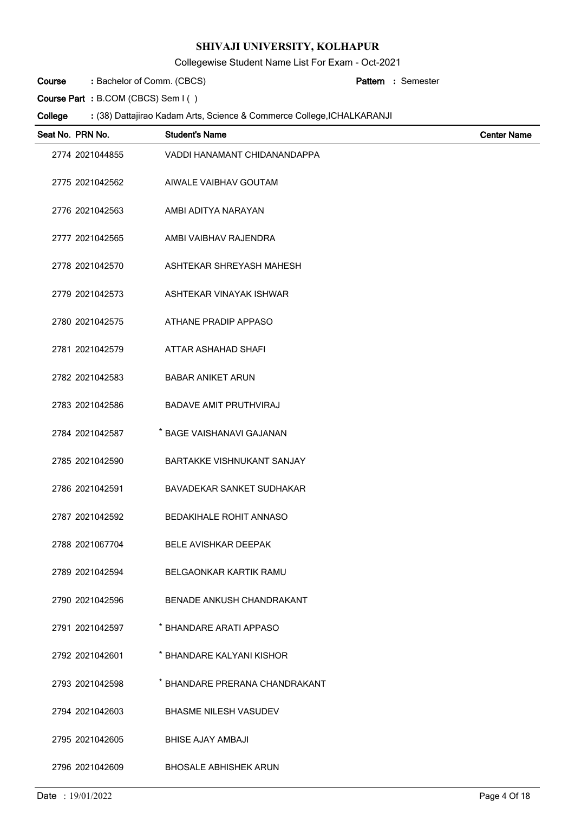Collegewise Student Name List For Exam - Oct-2021

Bachelor of Comm. (CBCS) **: Pattern Course**

Semester **:**

**Course Part :** B.COM (CBCS) Sem I ( )

| Seat No. PRN No. | <b>Student's Name</b>             | <b>Center Name</b> |
|------------------|-----------------------------------|--------------------|
| 2774 2021044855  | VADDI HANAMANT CHIDANANDAPPA      |                    |
| 2775 2021042562  | AIWALE VAIBHAV GOUTAM             |                    |
| 2776 2021042563  | AMBI ADITYA NARAYAN               |                    |
| 2777 2021042565  | AMBI VAIBHAV RAJENDRA             |                    |
| 2778 2021042570  | ASHTEKAR SHREYASH MAHESH          |                    |
| 2779 2021042573  | ASHTEKAR VINAYAK ISHWAR           |                    |
| 2780 2021042575  | ATHANE PRADIP APPASO              |                    |
| 2781 2021042579  | ATTAR ASHAHAD SHAFI               |                    |
| 2782 2021042583  | <b>BABAR ANIKET ARUN</b>          |                    |
| 2783 2021042586  | <b>BADAVE AMIT PRUTHVIRAJ</b>     |                    |
| 2784 2021042587  | * BAGE VAISHANAVI GAJANAN         |                    |
| 2785 2021042590  | <b>BARTAKKE VISHNUKANT SANJAY</b> |                    |
| 2786 2021042591  | BAVADEKAR SANKET SUDHAKAR         |                    |
| 2787 2021042592  | <b>BEDAKIHALE ROHIT ANNASO</b>    |                    |
| 2788 2021067704  | <b>BELE AVISHKAR DEEPAK</b>       |                    |
| 2789 2021042594  | <b>BELGAONKAR KARTIK RAMU</b>     |                    |
| 2790 2021042596  | BENADE ANKUSH CHANDRAKANT         |                    |
| 2791 2021042597  | * BHANDARE ARATI APPASO           |                    |
| 2792 2021042601  | * BHANDARE KALYANI KISHOR         |                    |
| 2793 2021042598  | * BHANDARE PRERANA CHANDRAKANT    |                    |
| 2794 2021042603  | <b>BHASME NILESH VASUDEV</b>      |                    |
| 2795 2021042605  | <b>BHISE AJAY AMBAJI</b>          |                    |
| 2796 2021042609  | <b>BHOSALE ABHISHEK ARUN</b>      |                    |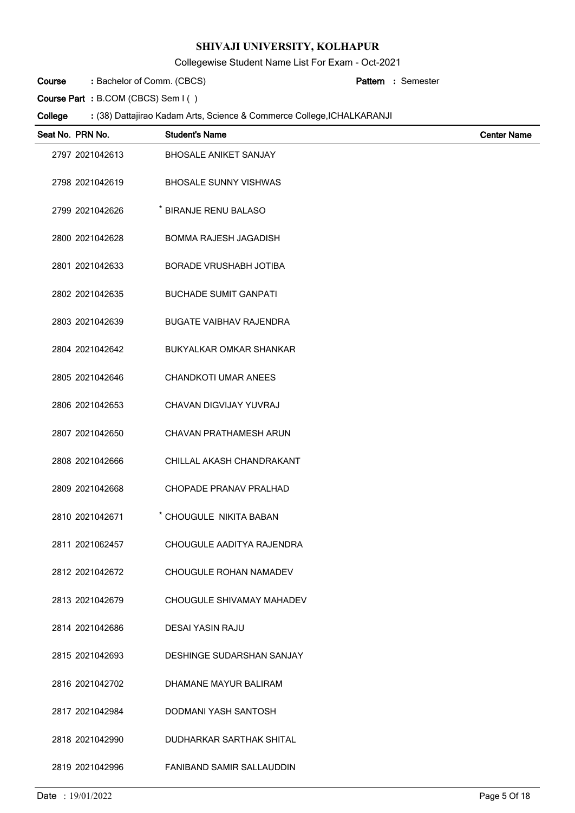Collegewise Student Name List For Exam - Oct-2021

Bachelor of Comm. (CBCS) **: Pattern Course**

Semester **:**

**Course Part :** B.COM (CBCS) Sem I ( )

| Seat No. PRN No. | <b>Student's Name</b>          | <b>Center Name</b> |
|------------------|--------------------------------|--------------------|
| 2797 2021042613  | <b>BHOSALE ANIKET SANJAY</b>   |                    |
| 2798 2021042619  | <b>BHOSALE SUNNY VISHWAS</b>   |                    |
| 2799 2021042626  | * BIRANJE RENU BALASO          |                    |
| 2800 2021042628  | <b>BOMMA RAJESH JAGADISH</b>   |                    |
| 2801 2021042633  | <b>BORADE VRUSHABH JOTIBA</b>  |                    |
| 2802 2021042635  | <b>BUCHADE SUMIT GANPATI</b>   |                    |
| 2803 2021042639  | <b>BUGATE VAIBHAV RAJENDRA</b> |                    |
| 2804 2021042642  | BUKYALKAR OMKAR SHANKAR        |                    |
| 2805 2021042646  | <b>CHANDKOTI UMAR ANEES</b>    |                    |
| 2806 2021042653  | CHAVAN DIGVIJAY YUVRAJ         |                    |
| 2807 2021042650  | CHAVAN PRATHAMESH ARUN         |                    |
| 2808 2021042666  | CHILLAL AKASH CHANDRAKANT      |                    |
| 2809 2021042668  | CHOPADE PRANAV PRALHAD         |                    |
| 2810 2021042671  | * CHOUGULE NIKITA BABAN        |                    |
| 2811 2021062457  | CHOUGULE AADITYA RAJENDRA      |                    |
| 2812 2021042672  | CHOUGULE ROHAN NAMADEV         |                    |
| 2813 2021042679  | CHOUGULE SHIVAMAY MAHADEV      |                    |
| 2814 2021042686  | <b>DESAI YASIN RAJU</b>        |                    |
| 2815 2021042693  | DESHINGE SUDARSHAN SANJAY      |                    |
| 2816 2021042702  | DHAMANE MAYUR BALIRAM          |                    |
| 2817 2021042984  | DODMANI YASH SANTOSH           |                    |
| 2818 2021042990  | DUDHARKAR SARTHAK SHITAL       |                    |
| 2819 2021042996  | FANIBAND SAMIR SALLAUDDIN      |                    |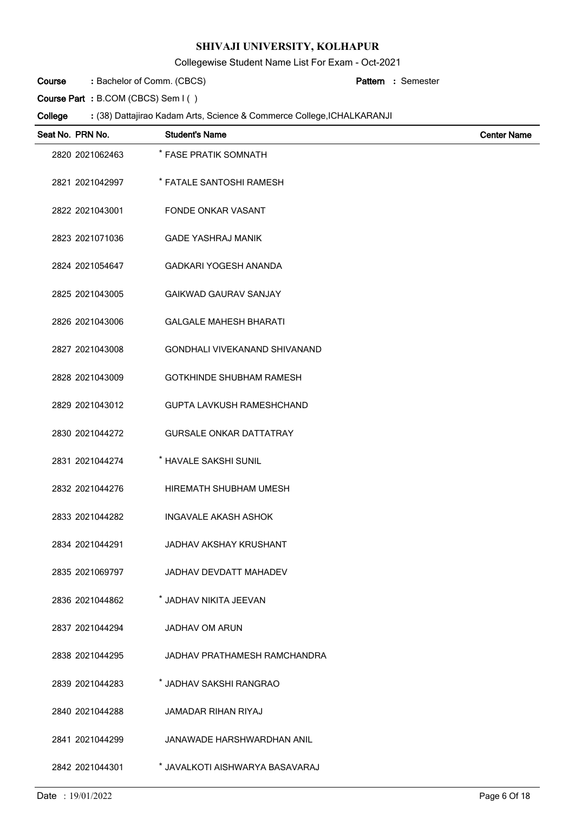Collegewise Student Name List For Exam - Oct-2021

Bachelor of Comm. (CBCS) **: Pattern Course**

Semester **:**

**Course Part :** B.COM (CBCS) Sem I ( )

| Seat No. PRN No. | <b>Student's Name</b>                | <b>Center Name</b> |
|------------------|--------------------------------------|--------------------|
| 2820 2021062463  | * FASE PRATIK SOMNATH                |                    |
| 2821 2021042997  | * FATALE SANTOSHI RAMESH             |                    |
| 2822 2021043001  | <b>FONDE ONKAR VASANT</b>            |                    |
| 2823 2021071036  | <b>GADE YASHRAJ MANIK</b>            |                    |
| 2824 2021054647  | <b>GADKARI YOGESH ANANDA</b>         |                    |
| 2825 2021043005  | <b>GAIKWAD GAURAV SANJAY</b>         |                    |
| 2826 2021043006  | <b>GALGALE MAHESH BHARATI</b>        |                    |
| 2827 2021043008  | <b>GONDHALI VIVEKANAND SHIVANAND</b> |                    |
| 2828 2021043009  | <b>GOTKHINDE SHUBHAM RAMESH</b>      |                    |
| 2829 2021043012  | <b>GUPTA LAVKUSH RAMESHCHAND</b>     |                    |
| 2830 2021044272  | <b>GURSALE ONKAR DATTATRAY</b>       |                    |
| 2831 2021044274  | * HAVALE SAKSHI SUNIL                |                    |
| 2832 2021044276  | HIREMATH SHUBHAM UMESH               |                    |
| 2833 2021044282  | <b>INGAVALE AKASH ASHOK</b>          |                    |
| 2834 2021044291  | <b>JADHAV AKSHAY KRUSHANT</b>        |                    |
| 2835 2021069797  | JADHAV DEVDATT MAHADEV               |                    |
| 2836 2021044862  | * JADHAV NIKITA JEEVAN               |                    |
| 2837 2021044294  | JADHAV OM ARUN                       |                    |
| 2838 2021044295  | JADHAV PRATHAMESH RAMCHANDRA         |                    |
| 2839 2021044283  | * JADHAV SAKSHI RANGRAO              |                    |
| 2840 2021044288  | <b>JAMADAR RIHAN RIYAJ</b>           |                    |
| 2841 2021044299  | <b>JANAWADE HARSHWARDHAN ANIL</b>    |                    |
| 2842 2021044301  | * JAVALKOTI AISHWARYA BASAVARAJ      |                    |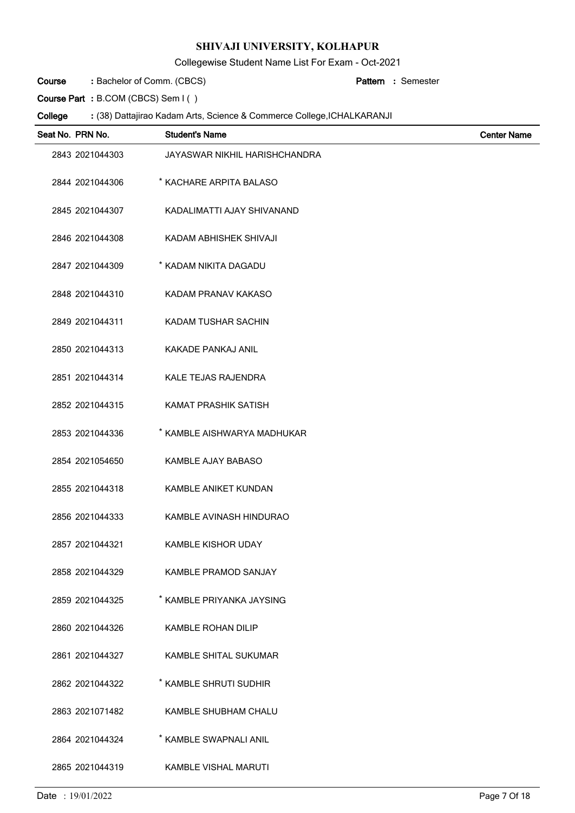Collegewise Student Name List For Exam - Oct-2021

Bachelor of Comm. (CBCS) **: Pattern Course**

Semester **:**

**Course Part :** B.COM (CBCS) Sem I ( )

| Seat No. PRN No. | <b>Student's Name</b>         | <b>Center Name</b> |
|------------------|-------------------------------|--------------------|
| 2843 2021044303  | JAYASWAR NIKHIL HARISHCHANDRA |                    |
| 2844 2021044306  | * KACHARE ARPITA BALASO       |                    |
| 2845 2021044307  | KADALIMATTI AJAY SHIVANAND    |                    |
| 2846 2021044308  | KADAM ABHISHEK SHIVAJI        |                    |
| 2847 2021044309  | * KADAM NIKITA DAGADU         |                    |
| 2848 2021044310  | KADAM PRANAV KAKASO           |                    |
| 2849 2021044311  | KADAM TUSHAR SACHIN           |                    |
| 2850 2021044313  | KAKADE PANKAJ ANIL            |                    |
| 2851 2021044314  | KALE TEJAS RAJENDRA           |                    |
| 2852 2021044315  | KAMAT PRASHIK SATISH          |                    |
| 2853 2021044336  | * KAMBLE AISHWARYA MADHUKAR   |                    |
| 2854 2021054650  | KAMBLE AJAY BABASO            |                    |
| 2855 2021044318  | KAMBLE ANIKET KUNDAN          |                    |
| 2856 2021044333  | KAMBLE AVINASH HINDURAO       |                    |
| 2857 2021044321  | <b>KAMBLE KISHOR UDAY</b>     |                    |
| 2858 2021044329  | <b>KAMBLE PRAMOD SANJAY</b>   |                    |
| 2859 2021044325  | * KAMBLE PRIYANKA JAYSING     |                    |
| 2860 2021044326  | <b>KAMBLE ROHAN DILIP</b>     |                    |
| 2861 2021044327  | KAMBLE SHITAL SUKUMAR         |                    |
| 2862 2021044322  | * KAMBLE SHRUTI SUDHIR        |                    |
| 2863 2021071482  | KAMBLE SHUBHAM CHALU          |                    |
| 2864 2021044324  | * KAMBLE SWAPNALI ANIL        |                    |
| 2865 2021044319  | <b>KAMBLE VISHAL MARUTI</b>   |                    |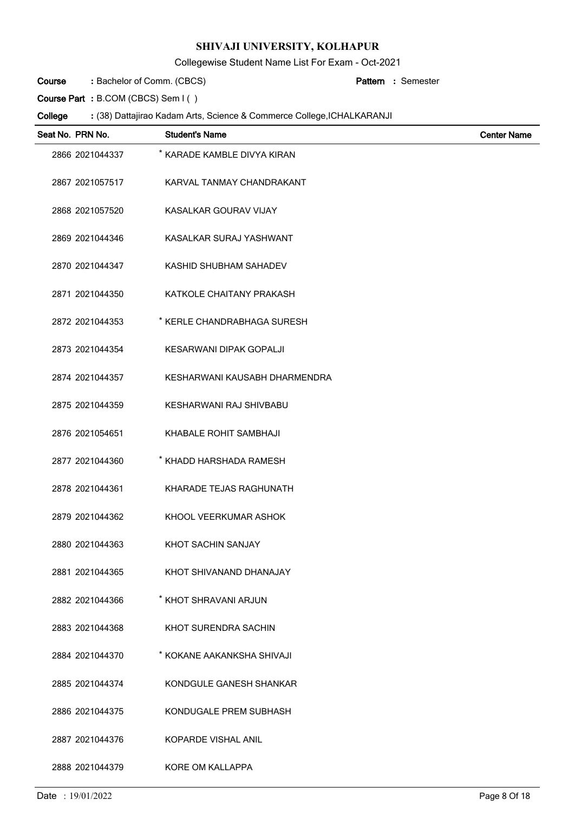Collegewise Student Name List For Exam - Oct-2021

Bachelor of Comm. (CBCS) **: Pattern Course**

Semester **:**

**Course Part :** B.COM (CBCS) Sem I ( )

| Seat No. PRN No. | <b>Student's Name</b>          | <b>Center Name</b> |
|------------------|--------------------------------|--------------------|
| 2866 2021044337  | * KARADE KAMBLE DIVYA KIRAN    |                    |
| 2867 2021057517  | KARVAL TANMAY CHANDRAKANT      |                    |
| 2868 2021057520  | KASALKAR GOURAV VIJAY          |                    |
| 2869 2021044346  | KASALKAR SURAJ YASHWANT        |                    |
| 2870 2021044347  | KASHID SHUBHAM SAHADEV         |                    |
| 2871 2021044350  | KATKOLE CHAITANY PRAKASH       |                    |
| 2872 2021044353  | * KERLE CHANDRABHAGA SURESH    |                    |
| 2873 2021044354  | <b>KESARWANI DIPAK GOPALJI</b> |                    |
| 2874 2021044357  | KESHARWANI KAUSABH DHARMENDRA  |                    |
| 2875 2021044359  | KESHARWANI RAJ SHIVBABU        |                    |
| 2876 2021054651  | KHABALE ROHIT SAMBHAJI         |                    |
| 2877 2021044360  | * KHADD HARSHADA RAMESH        |                    |
| 2878 2021044361  | KHARADE TEJAS RAGHUNATH        |                    |
| 2879 2021044362  | KHOOL VEERKUMAR ASHOK          |                    |
| 2880 2021044363  | KHOT SACHIN SANJAY             |                    |
| 2881 2021044365  | KHOT SHIVANAND DHANAJAY        |                    |
| 2882 2021044366  | * KHOT SHRAVANI ARJUN          |                    |
| 2883 2021044368  | KHOT SURENDRA SACHIN           |                    |
| 2884 2021044370  | * KOKANE AAKANKSHA SHIVAJI     |                    |
| 2885 2021044374  | KONDGULE GANESH SHANKAR        |                    |
| 2886 2021044375  | KONDUGALE PREM SUBHASH         |                    |
| 2887 2021044376  | KOPARDE VISHAL ANIL            |                    |
| 2888 2021044379  | KORE OM KALLAPPA               |                    |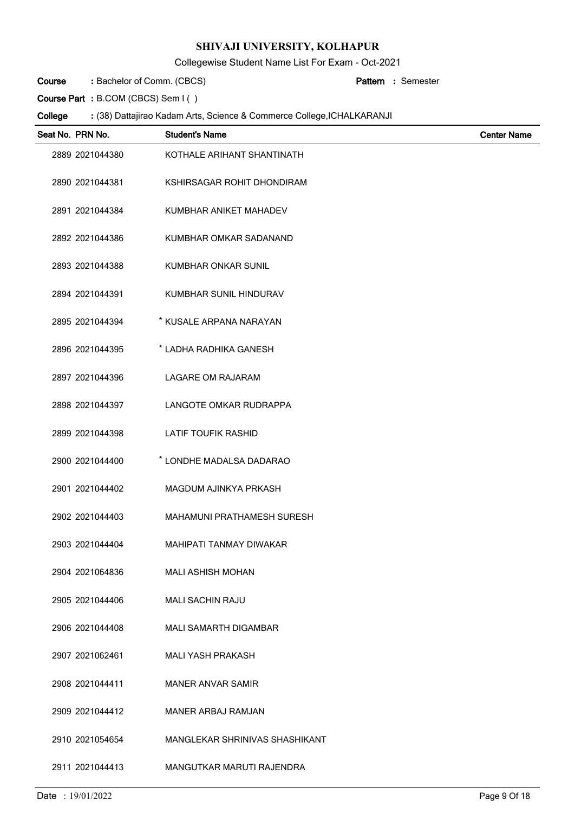Collegewise Student Name List For Exam - Oct-2021

Bachelor of Comm. (CBCS) **: Pattern Course**

Semester **:**

**Course Part :** B.COM (CBCS) Sem I ( )

| Seat No. PRN No. | <b>Student's Name</b>          | <b>Center Name</b> |
|------------------|--------------------------------|--------------------|
| 2889 2021044380  | KOTHALE ARIHANT SHANTINATH     |                    |
| 2890 2021044381  | KSHIRSAGAR ROHIT DHONDIRAM     |                    |
| 2891 2021044384  | KUMBHAR ANIKET MAHADEV         |                    |
| 2892 2021044386  | KUMBHAR OMKAR SADANAND         |                    |
| 2893 2021044388  | <b>KUMBHAR ONKAR SUNIL</b>     |                    |
| 2894 2021044391  | KUMBHAR SUNIL HINDURAV         |                    |
| 2895 2021044394  | * KUSALE ARPANA NARAYAN        |                    |
| 2896 2021044395  | * LADHA RADHIKA GANESH         |                    |
| 2897 2021044396  | <b>LAGARE OM RAJARAM</b>       |                    |
| 2898 2021044397  | LANGOTE OMKAR RUDRAPPA         |                    |
| 2899 2021044398  | <b>LATIF TOUFIK RASHID</b>     |                    |
| 2900 2021044400  | * LONDHE MADALSA DADARAO       |                    |
| 2901 2021044402  | MAGDUM AJINKYA PRKASH          |                    |
| 2902 2021044403  | MAHAMUNI PRATHAMESH SURESH     |                    |
| 2903 2021044404  | <b>MAHIPATI TANMAY DIWAKAR</b> |                    |
| 2904 2021064836  | MALI ASHISH MOHAN              |                    |
| 2905 2021044406  | <b>MALI SACHIN RAJU</b>        |                    |
| 2906 2021044408  | MALI SAMARTH DIGAMBAR          |                    |
| 2907 2021062461  | <b>MALI YASH PRAKASH</b>       |                    |
| 2908 2021044411  | <b>MANER ANVAR SAMIR</b>       |                    |
| 2909 2021044412  | <b>MANER ARBAJ RAMJAN</b>      |                    |
| 2910 2021054654  | MANGLEKAR SHRINIVAS SHASHIKANT |                    |
| 2911 2021044413  | MANGUTKAR MARUTI RAJENDRA      |                    |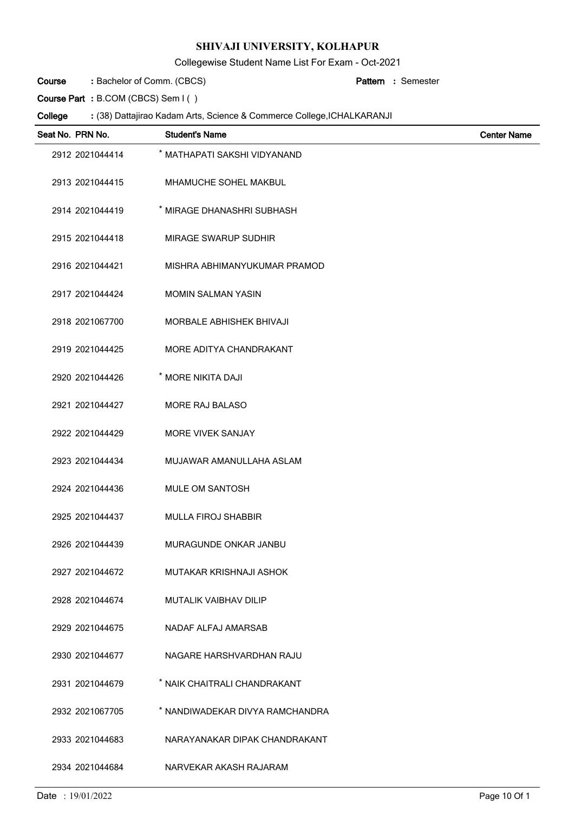Collegewise Student Name List For Exam - Oct-2021

Bachelor of Comm. (CBCS) **: Pattern Course**

Semester **:**

**Course Part :** B.COM (CBCS) Sem I ( )

 $\overline{a}$ 

| Seat No. PRN No. | <b>Student's Name</b>           | <b>Center Name</b> |
|------------------|---------------------------------|--------------------|
| 2912 2021044414  | * MATHAPATI SAKSHI VIDYANAND    |                    |
| 2913 2021044415  | MHAMUCHE SOHEL MAKBUL           |                    |
| 2914 2021044419  | * MIRAGE DHANASHRI SUBHASH      |                    |
| 2915 2021044418  | MIRAGE SWARUP SUDHIR            |                    |
| 2916 2021044421  | MISHRA ABHIMANYUKUMAR PRAMOD    |                    |
| 2917 2021044424  | <b>MOMIN SALMAN YASIN</b>       |                    |
| 2918 2021067700  | <b>MORBALE ABHISHEK BHIVAJI</b> |                    |
| 2919 2021044425  | MORE ADITYA CHANDRAKANT         |                    |
| 2920 2021044426  | * MORE NIKITA DAJI              |                    |
| 2921 2021044427  | MORE RAJ BALASO                 |                    |
| 2922 2021044429  | <b>MORE VIVEK SANJAY</b>        |                    |
| 2923 2021044434  | MUJAWAR AMANULLAHA ASLAM        |                    |
| 2924 2021044436  | MULE OM SANTOSH                 |                    |
| 2925 2021044437  | <b>MULLA FIROJ SHABBIR</b>      |                    |
| 2926 2021044439  | MURAGUNDE ONKAR JANBU           |                    |
| 2927 2021044672  | MUTAKAR KRISHNAJI ASHOK         |                    |
| 2928 2021044674  | MUTALIK VAIBHAV DILIP           |                    |
| 2929 2021044675  | NADAF ALFAJ AMARSAB             |                    |
| 2930 2021044677  | NAGARE HARSHVARDHAN RAJU        |                    |
| 2931 2021044679  | * NAIK CHAITRALI CHANDRAKANT    |                    |
| 2932 2021067705  | * NANDIWADEKAR DIVYA RAMCHANDRA |                    |
| 2933 2021044683  | NARAYANAKAR DIPAK CHANDRAKANT   |                    |
| 2934 2021044684  | NARVEKAR AKASH RAJARAM          |                    |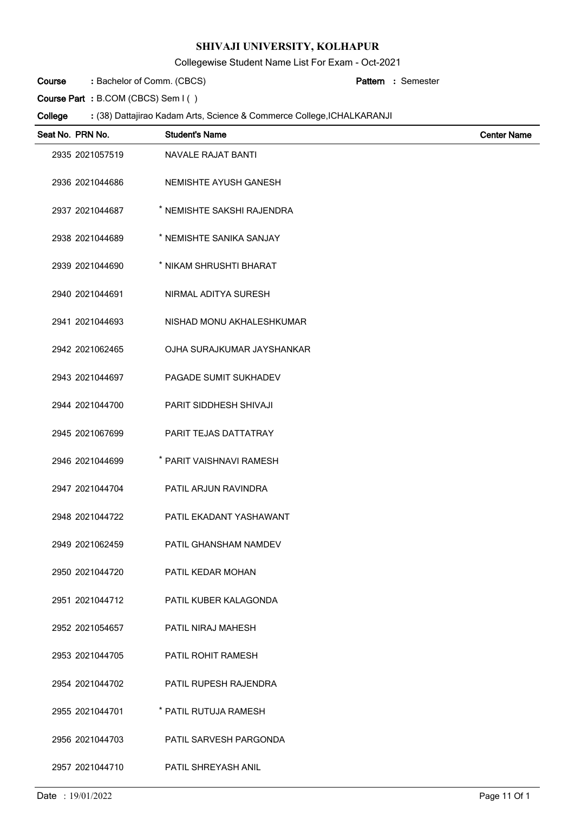Collegewise Student Name List For Exam - Oct-2021

Bachelor of Comm. (CBCS) **: Pattern Course**

Semester **:**

**Course Part :** B.COM (CBCS) Sem I ( )

| Seat No. PRN No. | <b>Student's Name</b>      | <b>Center Name</b> |
|------------------|----------------------------|--------------------|
| 2935 2021057519  | NAVALE RAJAT BANTI         |                    |
| 2936 2021044686  | NEMISHTE AYUSH GANESH      |                    |
| 2937 2021044687  | * NEMISHTE SAKSHI RAJENDRA |                    |
| 2938 2021044689  | * NEMISHTE SANIKA SANJAY   |                    |
| 2939 2021044690  | * NIKAM SHRUSHTI BHARAT    |                    |
| 2940 2021044691  | NIRMAL ADITYA SURESH       |                    |
| 2941 2021044693  | NISHAD MONU AKHALESHKUMAR  |                    |
| 2942 2021062465  | OJHA SURAJKUMAR JAYSHANKAR |                    |
| 2943 2021044697  | PAGADE SUMIT SUKHADEV      |                    |
| 2944 2021044700  | PARIT SIDDHESH SHIVAJI     |                    |
| 2945 2021067699  | PARIT TEJAS DATTATRAY      |                    |
| 2946 2021044699  | * PARIT VAISHNAVI RAMESH   |                    |
| 2947 2021044704  | PATIL ARJUN RAVINDRA       |                    |
| 2948 2021044722  | PATIL EKADANT YASHAWANT    |                    |
| 2949 2021062459  | PATIL GHANSHAM NAMDEV      |                    |
| 2950 2021044720  | PATIL KEDAR MOHAN          |                    |
| 2951 2021044712  | PATIL KUBER KALAGONDA      |                    |
| 2952 2021054657  | PATIL NIRAJ MAHESH         |                    |
| 2953 2021044705  | PATIL ROHIT RAMESH         |                    |
| 2954 2021044702  | PATIL RUPESH RAJENDRA      |                    |
| 2955 2021044701  | * PATIL RUTUJA RAMESH      |                    |
| 2956 2021044703  | PATIL SARVESH PARGONDA     |                    |
| 2957 2021044710  | PATIL SHREYASH ANIL        |                    |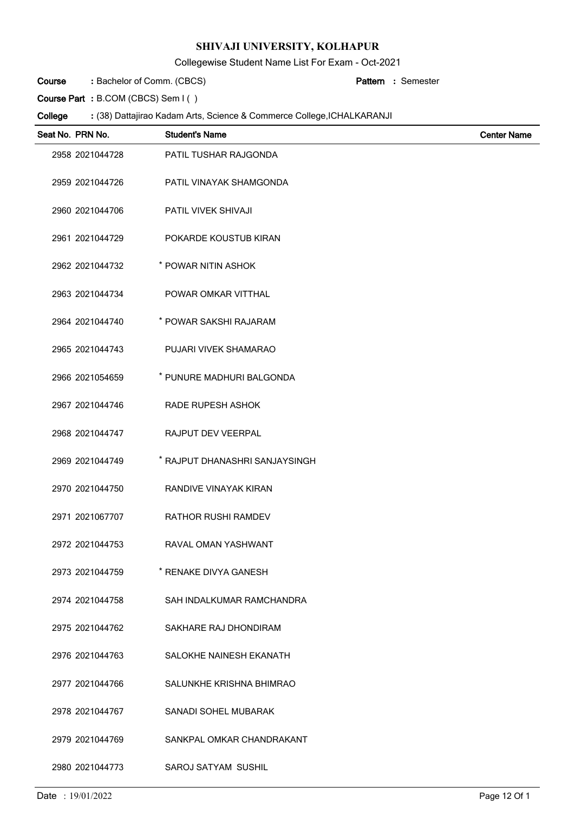Collegewise Student Name List For Exam - Oct-2021

Bachelor of Comm. (CBCS) **: Pattern Course**

Semester **:**

**Course Part :** B.COM (CBCS) Sem I ( )

| Seat No. PRN No. | <b>Student's Name</b>          | <b>Center Name</b> |
|------------------|--------------------------------|--------------------|
| 2958 2021044728  | PATIL TUSHAR RAJGONDA          |                    |
| 2959 2021044726  | PATIL VINAYAK SHAMGONDA        |                    |
| 2960 2021044706  | <b>PATIL VIVEK SHIVAJI</b>     |                    |
| 2961 2021044729  | POKARDE KOUSTUB KIRAN          |                    |
| 2962 2021044732  | * POWAR NITIN ASHOK            |                    |
| 2963 2021044734  | POWAR OMKAR VITTHAL            |                    |
| 2964 2021044740  | * POWAR SAKSHI RAJARAM         |                    |
| 2965 2021044743  | PUJARI VIVEK SHAMARAO          |                    |
| 2966 2021054659  | * PUNURE MADHURI BALGONDA      |                    |
| 2967 2021044746  | <b>RADE RUPESH ASHOK</b>       |                    |
| 2968 2021044747  | RAJPUT DEV VEERPAL             |                    |
| 2969 2021044749  | * RAJPUT DHANASHRI SANJAYSINGH |                    |
| 2970 2021044750  | RANDIVE VINAYAK KIRAN          |                    |
| 2971 2021067707  | <b>RATHOR RUSHI RAMDEV</b>     |                    |
| 2972 2021044753  | RAVAL OMAN YASHWANT            |                    |
| 2973 2021044759  | * RENAKE DIVYA GANESH          |                    |
| 2974 2021044758  | SAH INDALKUMAR RAMCHANDRA      |                    |
| 2975 2021044762  | SAKHARE RAJ DHONDIRAM          |                    |
| 2976 2021044763  | SALOKHE NAINESH EKANATH        |                    |
| 2977 2021044766  | SALUNKHE KRISHNA BHIMRAO       |                    |
| 2978 2021044767  | SANADI SOHEL MUBARAK           |                    |
| 2979 2021044769  | SANKPAL OMKAR CHANDRAKANT      |                    |
| 2980 2021044773  | SAROJ SATYAM SUSHIL            |                    |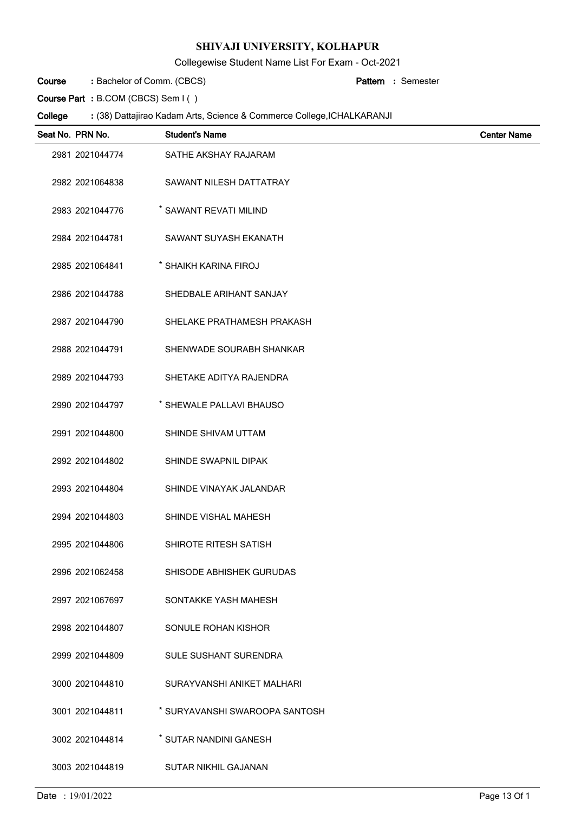Collegewise Student Name List For Exam - Oct-2021

Bachelor of Comm. (CBCS) **: Pattern Course**

Semester **:**

**Course Part :** B.COM (CBCS) Sem I ( )

| Seat No. PRN No. | <b>Student's Name</b>          | <b>Center Name</b> |
|------------------|--------------------------------|--------------------|
| 2981 2021044774  | SATHE AKSHAY RAJARAM           |                    |
| 2982 2021064838  | SAWANT NILESH DATTATRAY        |                    |
| 2983 2021044776  | * SAWANT REVATI MILIND         |                    |
| 2984 2021044781  | SAWANT SUYASH EKANATH          |                    |
| 2985 2021064841  | * SHAIKH KARINA FIROJ          |                    |
| 2986 2021044788  | SHEDBALE ARIHANT SANJAY        |                    |
| 2987 2021044790  | SHELAKE PRATHAMESH PRAKASH     |                    |
| 2988 2021044791  | SHENWADE SOURABH SHANKAR       |                    |
| 2989 2021044793  | SHETAKE ADITYA RAJENDRA        |                    |
| 2990 2021044797  | * SHEWALE PALLAVI BHAUSO       |                    |
| 2991 2021044800  | SHINDE SHIVAM UTTAM            |                    |
| 2992 2021044802  | SHINDE SWAPNIL DIPAK           |                    |
| 2993 2021044804  | SHINDE VINAYAK JALANDAR        |                    |
| 2994 2021044803  | SHINDE VISHAL MAHESH           |                    |
| 2995 2021044806  | SHIROTE RITESH SATISH          |                    |
| 2996 2021062458  | SHISODE ABHISHEK GURUDAS       |                    |
| 2997 2021067697  | SONTAKKE YASH MAHESH           |                    |
| 2998 2021044807  | SONULE ROHAN KISHOR            |                    |
| 2999 2021044809  | <b>SULE SUSHANT SURENDRA</b>   |                    |
| 3000 2021044810  | SURAYVANSHI ANIKET MALHARI     |                    |
| 3001 2021044811  | * SURYAVANSHI SWAROOPA SANTOSH |                    |
| 3002 2021044814  | * SUTAR NANDINI GANESH         |                    |
| 3003 2021044819  | SUTAR NIKHIL GAJANAN           |                    |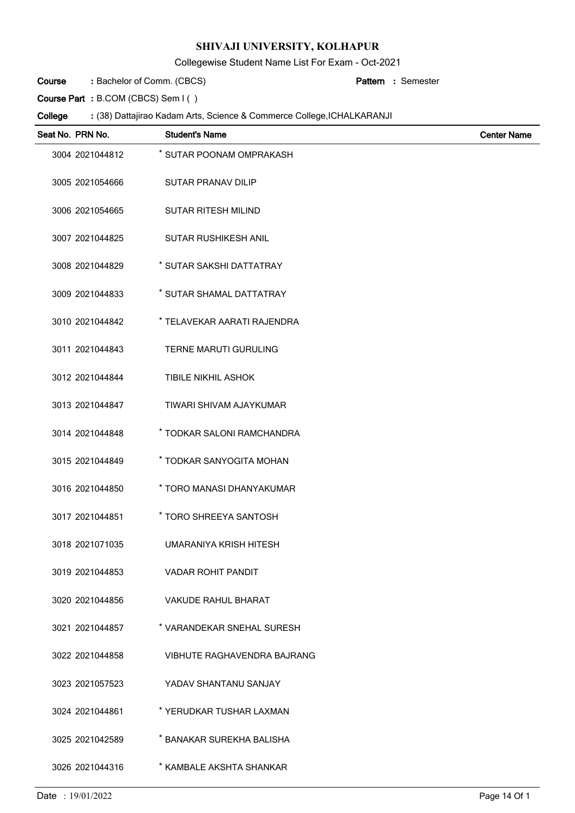Collegewise Student Name List For Exam - Oct-2021

Bachelor of Comm. (CBCS) **: Pattern Course**

Semester **:**

**Course Part :** B.COM (CBCS) Sem I ( )

| Seat No. PRN No. | <b>Student's Name</b>              | <b>Center Name</b> |
|------------------|------------------------------------|--------------------|
| 3004 2021044812  | * SUTAR POONAM OMPRAKASH           |                    |
| 3005 2021054666  | <b>SUTAR PRANAV DILIP</b>          |                    |
| 3006 2021054665  | <b>SUTAR RITESH MILIND</b>         |                    |
| 3007 2021044825  | <b>SUTAR RUSHIKESH ANIL</b>        |                    |
| 3008 2021044829  | * SUTAR SAKSHI DATTATRAY           |                    |
| 3009 2021044833  | * SUTAR SHAMAL DATTATRAY           |                    |
| 3010 2021044842  | * TELAVEKAR AARATI RAJENDRA        |                    |
| 3011 2021044843  | <b>TERNE MARUTI GURULING</b>       |                    |
| 3012 2021044844  | <b>TIBILE NIKHIL ASHOK</b>         |                    |
| 3013 2021044847  | TIWARI SHIVAM AJAYKUMAR            |                    |
| 3014 2021044848  | * TODKAR SALONI RAMCHANDRA         |                    |
| 3015 2021044849  | * TODKAR SANYOGITA MOHAN           |                    |
| 3016 2021044850  | * TORO MANASI DHANYAKUMAR          |                    |
| 3017 2021044851  | * TORO SHREEYA SANTOSH             |                    |
| 3018 2021071035  | UMARANIYA KRISH HITESH             |                    |
| 3019 2021044853  | <b>VADAR ROHIT PANDIT</b>          |                    |
| 3020 2021044856  | <b>VAKUDE RAHUL BHARAT</b>         |                    |
| 3021 2021044857  | * VARANDEKAR SNEHAL SURESH         |                    |
| 3022 2021044858  | <b>VIBHUTE RAGHAVENDRA BAJRANG</b> |                    |
| 3023 2021057523  | YADAV SHANTANU SANJAY              |                    |
| 3024 2021044861  | * YERUDKAR TUSHAR LAXMAN           |                    |
| 3025 2021042589  | * BANAKAR SUREKHA BALISHA          |                    |
| 3026 2021044316  | * KAMBALE AKSHTA SHANKAR           |                    |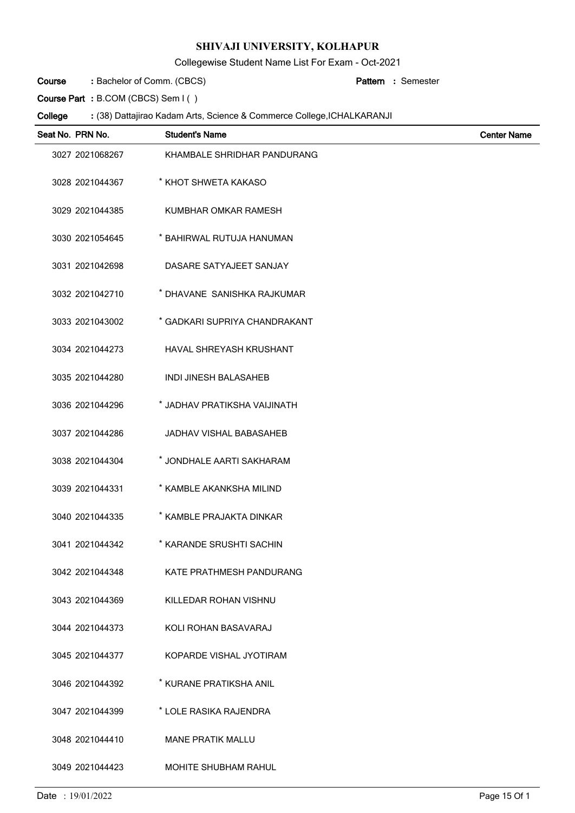Collegewise Student Name List For Exam - Oct-2021

Bachelor of Comm. (CBCS) **: Pattern Course**

Semester **:**

**Course Part :** B.COM (CBCS) Sem I ( )

| Seat No. PRN No. | <b>Student's Name</b>          | <b>Center Name</b> |
|------------------|--------------------------------|--------------------|
| 3027 2021068267  | KHAMBALE SHRIDHAR PANDURANG    |                    |
| 3028 2021044367  | * KHOT SHWETA KAKASO           |                    |
| 3029 2021044385  | KUMBHAR OMKAR RAMESH           |                    |
| 3030 2021054645  | * BAHIRWAL RUTUJA HANUMAN      |                    |
| 3031 2021042698  | DASARE SATYAJEET SANJAY        |                    |
| 3032 2021042710  | * DHAVANE SANISHKA RAJKUMAR    |                    |
| 3033 2021043002  | * GADKARI SUPRIYA CHANDRAKANT  |                    |
| 3034 2021044273  | HAVAL SHREYASH KRUSHANT        |                    |
| 3035 2021044280  | <b>INDI JINESH BALASAHEB</b>   |                    |
| 3036 2021044296  | * JADHAV PRATIKSHA VAIJINATH   |                    |
| 3037 2021044286  | <b>JADHAV VISHAL BABASAHEB</b> |                    |
| 3038 2021044304  | * JONDHALE AARTI SAKHARAM      |                    |
| 3039 2021044331  | * KAMBLE AKANKSHA MILIND       |                    |
| 3040 2021044335  | * KAMBLE PRAJAKTA DINKAR       |                    |
| 3041 2021044342  | * KARANDE SRUSHTI SACHIN       |                    |
| 3042 2021044348  | KATE PRATHMESH PANDURANG       |                    |
| 3043 2021044369  | KILLEDAR ROHAN VISHNU          |                    |
| 3044 2021044373  | KOLI ROHAN BASAVARAJ           |                    |
| 3045 2021044377  | KOPARDE VISHAL JYOTIRAM        |                    |
| 3046 2021044392  | * KURANE PRATIKSHA ANIL        |                    |
| 3047 2021044399  | * LOLE RASIKA RAJENDRA         |                    |
| 3048 2021044410  | <b>MANE PRATIK MALLU</b>       |                    |
| 3049 2021044423  | MOHITE SHUBHAM RAHUL           |                    |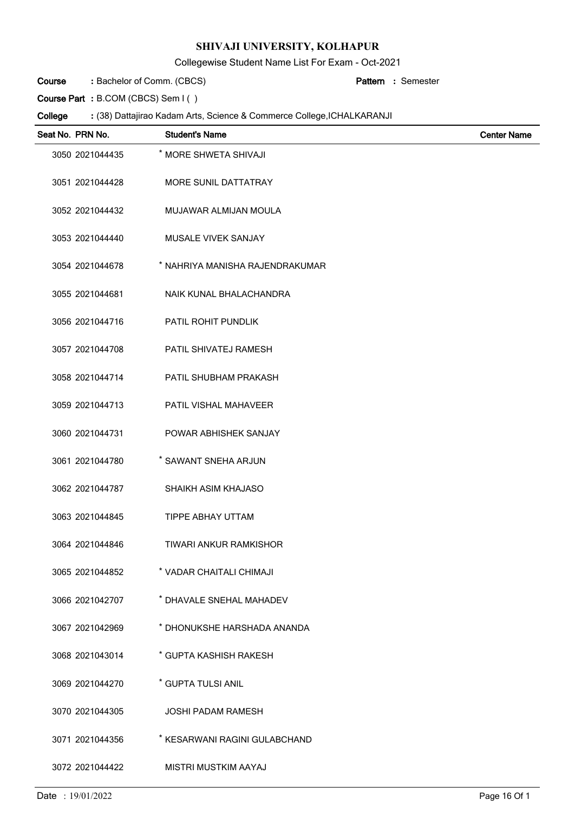Collegewise Student Name List For Exam - Oct-2021

Bachelor of Comm. (CBCS) **: Pattern Course**

Semester **:**

**Course Part :** B.COM (CBCS) Sem I ( )

| Seat No. PRN No. | <b>Student's Name</b>           | <b>Center Name</b> |
|------------------|---------------------------------|--------------------|
| 3050 2021044435  | * MORE SHWETA SHIVAJI           |                    |
| 3051 2021044428  | MORE SUNIL DATTATRAY            |                    |
| 3052 2021044432  | MUJAWAR ALMIJAN MOULA           |                    |
| 3053 2021044440  | <b>MUSALE VIVEK SANJAY</b>      |                    |
| 3054 2021044678  | * NAHRIYA MANISHA RAJENDRAKUMAR |                    |
| 3055 2021044681  | NAIK KUNAL BHALACHANDRA         |                    |
| 3056 2021044716  | PATIL ROHIT PUNDLIK             |                    |
| 3057 2021044708  | PATIL SHIVATEJ RAMESH           |                    |
| 3058 2021044714  | PATIL SHUBHAM PRAKASH           |                    |
| 3059 2021044713  | PATIL VISHAL MAHAVEER           |                    |
| 3060 2021044731  | POWAR ABHISHEK SANJAY           |                    |
| 3061 2021044780  | * SAWANT SNEHA ARJUN            |                    |
| 3062 2021044787  | SHAIKH ASIM KHAJASO             |                    |
| 3063 2021044845  | TIPPE ABHAY UTTAM               |                    |
| 3064 2021044846  | <b>TIWARI ANKUR RAMKISHOR</b>   |                    |
| 3065 2021044852  | * VADAR CHAITALI CHIMAJI        |                    |
| 3066 2021042707  | * DHAVALE SNEHAL MAHADEV        |                    |
| 3067 2021042969  | * DHONUKSHE HARSHADA ANANDA     |                    |
| 3068 2021043014  | * GUPTA KASHISH RAKESH          |                    |
| 3069 2021044270  | * GUPTA TULSI ANIL              |                    |
| 3070 2021044305  | <b>JOSHI PADAM RAMESH</b>       |                    |
| 3071 2021044356  | * KESARWANI RAGINI GULABCHAND   |                    |
| 3072 2021044422  | MISTRI MUSTKIM AAYAJ            |                    |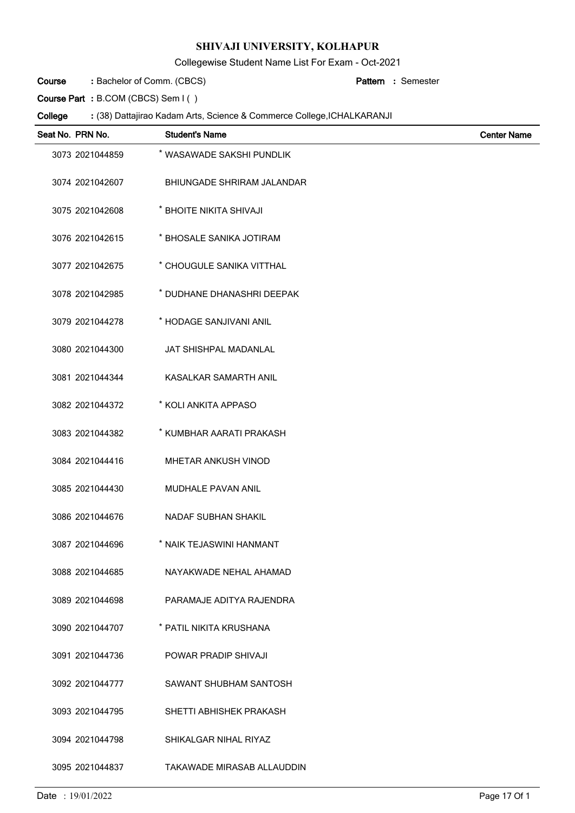Collegewise Student Name List For Exam - Oct-2021

Bachelor of Comm. (CBCS) **: Pattern Course**

Semester **:**

**Course Part :** B.COM (CBCS) Sem I ( )

| Seat No. PRN No. | <b>Student's Name</b>      | <b>Center Name</b> |
|------------------|----------------------------|--------------------|
| 3073 2021044859  | * WASAWADE SAKSHI PUNDLIK  |                    |
| 3074 2021042607  | BHIUNGADE SHRIRAM JALANDAR |                    |
| 3075 2021042608  | * BHOITE NIKITA SHIVAJI    |                    |
| 3076 2021042615  | * BHOSALE SANIKA JOTIRAM   |                    |
| 3077 2021042675  | * CHOUGULE SANIKA VITTHAL  |                    |
| 3078 2021042985  | * DUDHANE DHANASHRI DEEPAK |                    |
| 3079 2021044278  | * HODAGE SANJIVANI ANIL    |                    |
| 3080 2021044300  | JAT SHISHPAL MADANLAL      |                    |
| 3081 2021044344  | KASALKAR SAMARTH ANIL      |                    |
| 3082 2021044372  | * KOLI ANKITA APPASO       |                    |
| 3083 2021044382  | * KUMBHAR AARATI PRAKASH   |                    |
| 3084 2021044416  | <b>MHETAR ANKUSH VINOD</b> |                    |
| 3085 2021044430  | <b>MUDHALE PAVAN ANIL</b>  |                    |
| 3086 2021044676  | NADAF SUBHAN SHAKIL        |                    |
| 3087 2021044696  | * NAIK TEJASWINI HANMANT   |                    |
| 3088 2021044685  | NAYAKWADE NEHAL AHAMAD     |                    |
| 3089 2021044698  | PARAMAJE ADITYA RAJENDRA   |                    |
| 3090 2021044707  | * PATIL NIKITA KRUSHANA    |                    |
| 3091 2021044736  | POWAR PRADIP SHIVAJI       |                    |
| 3092 2021044777  | SAWANT SHUBHAM SANTOSH     |                    |
| 3093 2021044795  | SHETTI ABHISHEK PRAKASH    |                    |
| 3094 2021044798  | SHIKALGAR NIHAL RIYAZ      |                    |
| 3095 2021044837  | TAKAWADE MIRASAB ALLAUDDIN |                    |